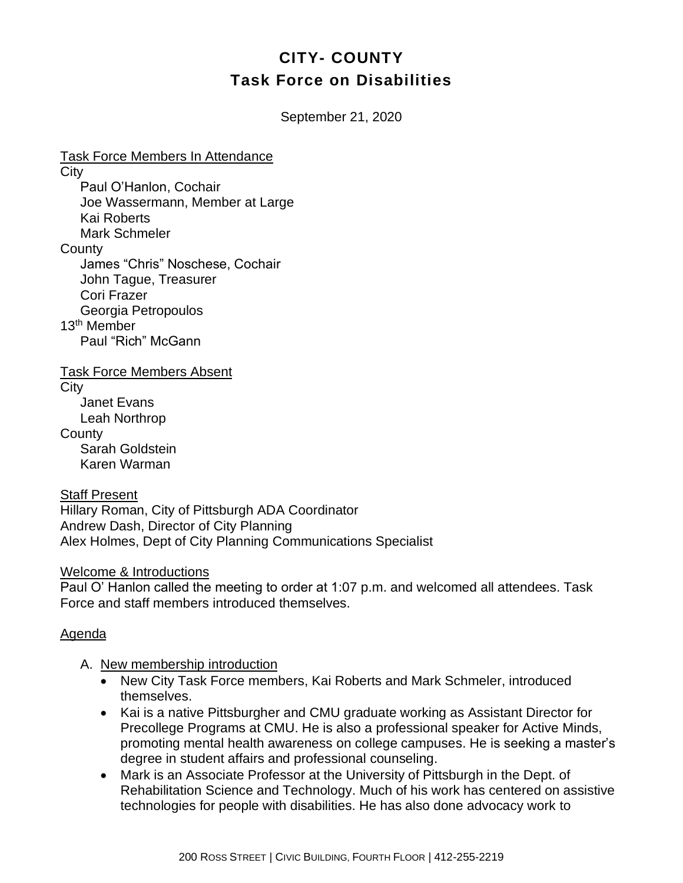# **CITY- COUNTY Task Force on Disabilities**

September 21, 2020

Task Force Members In Attendance **City** Paul O'Hanlon, Cochair Joe Wassermann, Member at Large Kai Roberts Mark Schmeler **County** James "Chris" Noschese, Cochair John Tague, Treasurer Cori Frazer Georgia Petropoulos 13th Member Paul "Rich" McGann Task Force Members Absent

**City** Janet Evans Leah Northrop **County** Sarah Goldstein Karen Warman

Staff Present

Hillary Roman, City of Pittsburgh ADA Coordinator Andrew Dash, Director of City Planning Alex Holmes, Dept of City Planning Communications Specialist

Welcome & Introductions

Paul O' Hanlon called the meeting to order at 1:07 p.m. and welcomed all attendees. Task Force and staff members introduced themselves.

# Agenda

- A. New membership introduction
	- New City Task Force members, Kai Roberts and Mark Schmeler, introduced themselves.
	- Kai is a native Pittsburgher and CMU graduate working as Assistant Director for Precollege Programs at CMU. He is also a professional speaker for Active Minds, promoting mental health awareness on college campuses. He is seeking a master's degree in student affairs and professional counseling.
	- Mark is an Associate Professor at the University of Pittsburgh in the Dept. of Rehabilitation Science and Technology. Much of his work has centered on assistive technologies for people with disabilities. He has also done advocacy work to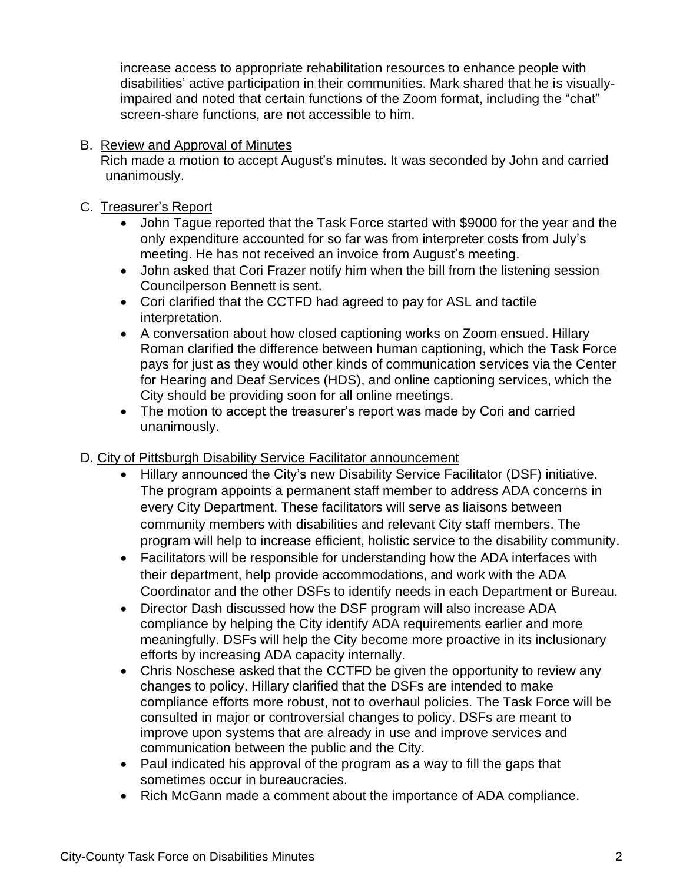increase access to appropriate rehabilitation resources to enhance people with disabilities' active participation in their communities. Mark shared that he is visuallyimpaired and noted that certain functions of the Zoom format, including the "chat" screen-share functions, are not accessible to him.

### B. Review and Approval of Minutes

Rich made a motion to accept August's minutes. It was seconded by John and carried unanimously.

#### C. Treasurer's Report

- John Tague reported that the Task Force started with \$9000 for the year and the only expenditure accounted for so far was from interpreter costs from July's meeting. He has not received an invoice from August's meeting.
- John asked that Cori Frazer notify him when the bill from the listening session Councilperson Bennett is sent.
- Cori clarified that the CCTFD had agreed to pay for ASL and tactile interpretation.
- A conversation about how closed captioning works on Zoom ensued. Hillary Roman clarified the difference between human captioning, which the Task Force pays for just as they would other kinds of communication services via the Center for Hearing and Deaf Services (HDS), and online captioning services, which the City should be providing soon for all online meetings.
- The motion to accept the treasurer's report was made by Cori and carried unanimously.

### D. City of Pittsburgh Disability Service Facilitator announcement

- Hillary announced the City's new Disability Service Facilitator (DSF) initiative. The program appoints a permanent staff member to address ADA concerns in every City Department. These facilitators will serve as liaisons between community members with disabilities and relevant City staff members. The program will help to increase efficient, holistic service to the disability community.
- Facilitators will be responsible for understanding how the ADA interfaces with their department, help provide accommodations, and work with the ADA Coordinator and the other DSFs to identify needs in each Department or Bureau.
- Director Dash discussed how the DSF program will also increase ADA compliance by helping the City identify ADA requirements earlier and more meaningfully. DSFs will help the City become more proactive in its inclusionary efforts by increasing ADA capacity internally.
- Chris Noschese asked that the CCTFD be given the opportunity to review any changes to policy. Hillary clarified that the DSFs are intended to make compliance efforts more robust, not to overhaul policies. The Task Force will be consulted in major or controversial changes to policy. DSFs are meant to improve upon systems that are already in use and improve services and communication between the public and the City.
- Paul indicated his approval of the program as a way to fill the gaps that sometimes occur in bureaucracies.
- Rich McGann made a comment about the importance of ADA compliance.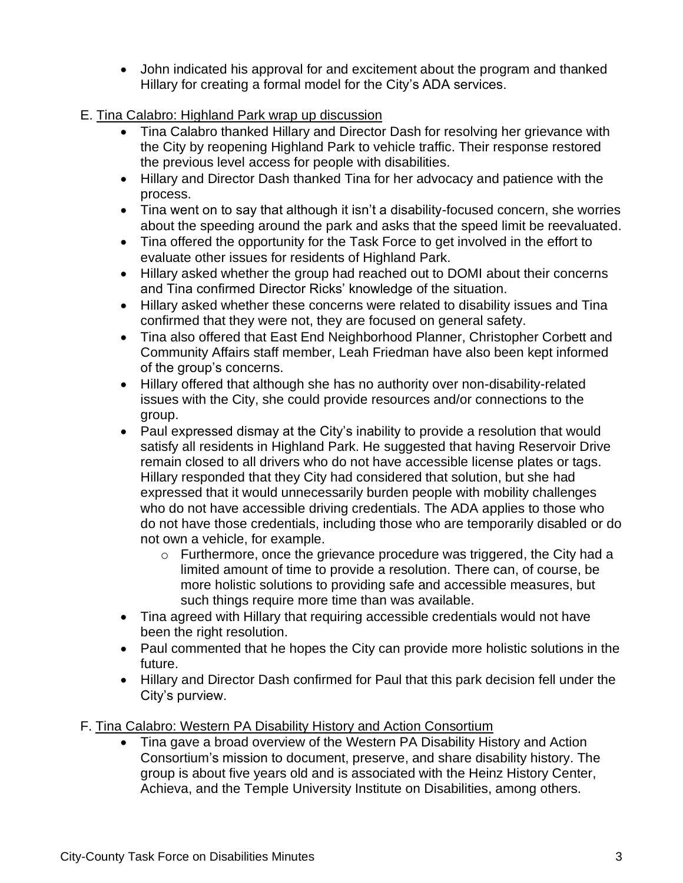- John indicated his approval for and excitement about the program and thanked Hillary for creating a formal model for the City's ADA services.
- E. Tina Calabro: Highland Park wrap up discussion
	- Tina Calabro thanked Hillary and Director Dash for resolving her grievance with the City by reopening Highland Park to vehicle traffic. Their response restored the previous level access for people with disabilities.
	- Hillary and Director Dash thanked Tina for her advocacy and patience with the process.
	- Tina went on to say that although it isn't a disability-focused concern, she worries about the speeding around the park and asks that the speed limit be reevaluated.
	- Tina offered the opportunity for the Task Force to get involved in the effort to evaluate other issues for residents of Highland Park.
	- Hillary asked whether the group had reached out to DOMI about their concerns and Tina confirmed Director Ricks' knowledge of the situation.
	- Hillary asked whether these concerns were related to disability issues and Tina confirmed that they were not, they are focused on general safety.
	- Tina also offered that East End Neighborhood Planner, Christopher Corbett and Community Affairs staff member, Leah Friedman have also been kept informed of the group's concerns.
	- Hillary offered that although she has no authority over non-disability-related issues with the City, she could provide resources and/or connections to the group.
	- Paul expressed dismay at the City's inability to provide a resolution that would satisfy all residents in Highland Park. He suggested that having Reservoir Drive remain closed to all drivers who do not have accessible license plates or tags. Hillary responded that they City had considered that solution, but she had expressed that it would unnecessarily burden people with mobility challenges who do not have accessible driving credentials. The ADA applies to those who do not have those credentials, including those who are temporarily disabled or do not own a vehicle, for example.
		- o Furthermore, once the grievance procedure was triggered, the City had a limited amount of time to provide a resolution. There can, of course, be more holistic solutions to providing safe and accessible measures, but such things require more time than was available.
	- Tina agreed with Hillary that requiring accessible credentials would not have been the right resolution.
	- Paul commented that he hopes the City can provide more holistic solutions in the future.
	- Hillary and Director Dash confirmed for Paul that this park decision fell under the City's purview.
- F. Tina Calabro: Western PA Disability History and Action Consortium
	- Tina gave a broad overview of the Western PA Disability History and Action Consortium's mission to document, preserve, and share disability history. The group is about five years old and is associated with the Heinz History Center, Achieva, and the Temple University Institute on Disabilities, among others.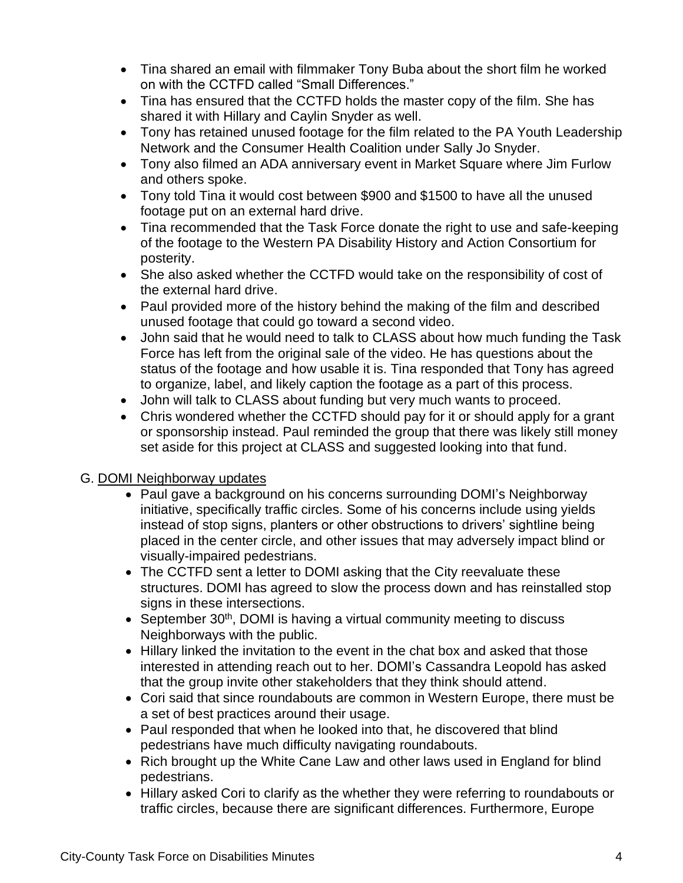- Tina shared an email with filmmaker Tony Buba about the short film he worked on with the CCTFD called "Small Differences."
- Tina has ensured that the CCTFD holds the master copy of the film. She has shared it with Hillary and Caylin Snyder as well.
- Tony has retained unused footage for the film related to the PA Youth Leadership Network and the Consumer Health Coalition under Sally Jo Snyder.
- Tony also filmed an ADA anniversary event in Market Square where Jim Furlow and others spoke.
- Tony told Tina it would cost between \$900 and \$1500 to have all the unused footage put on an external hard drive.
- Tina recommended that the Task Force donate the right to use and safe-keeping of the footage to the Western PA Disability History and Action Consortium for posterity.
- She also asked whether the CCTFD would take on the responsibility of cost of the external hard drive.
- Paul provided more of the history behind the making of the film and described unused footage that could go toward a second video.
- John said that he would need to talk to CLASS about how much funding the Task Force has left from the original sale of the video. He has questions about the status of the footage and how usable it is. Tina responded that Tony has agreed to organize, label, and likely caption the footage as a part of this process.
- John will talk to CLASS about funding but very much wants to proceed.
- Chris wondered whether the CCTFD should pay for it or should apply for a grant or sponsorship instead. Paul reminded the group that there was likely still money set aside for this project at CLASS and suggested looking into that fund.

# G. DOMI Neighborway updates

- Paul gave a background on his concerns surrounding DOMI's Neighborway initiative, specifically traffic circles. Some of his concerns include using yields instead of stop signs, planters or other obstructions to drivers' sightline being placed in the center circle, and other issues that may adversely impact blind or visually-impaired pedestrians.
- The CCTFD sent a letter to DOMI asking that the City reevaluate these structures. DOMI has agreed to slow the process down and has reinstalled stop signs in these intersections.
- September 30<sup>th</sup>, DOMI is having a virtual community meeting to discuss Neighborways with the public.
- Hillary linked the invitation to the event in the chat box and asked that those interested in attending reach out to her. DOMI's Cassandra Leopold has asked that the group invite other stakeholders that they think should attend.
- Cori said that since roundabouts are common in Western Europe, there must be a set of best practices around their usage.
- Paul responded that when he looked into that, he discovered that blind pedestrians have much difficulty navigating roundabouts.
- Rich brought up the White Cane Law and other laws used in England for blind pedestrians.
- Hillary asked Cori to clarify as the whether they were referring to roundabouts or traffic circles, because there are significant differences. Furthermore, Europe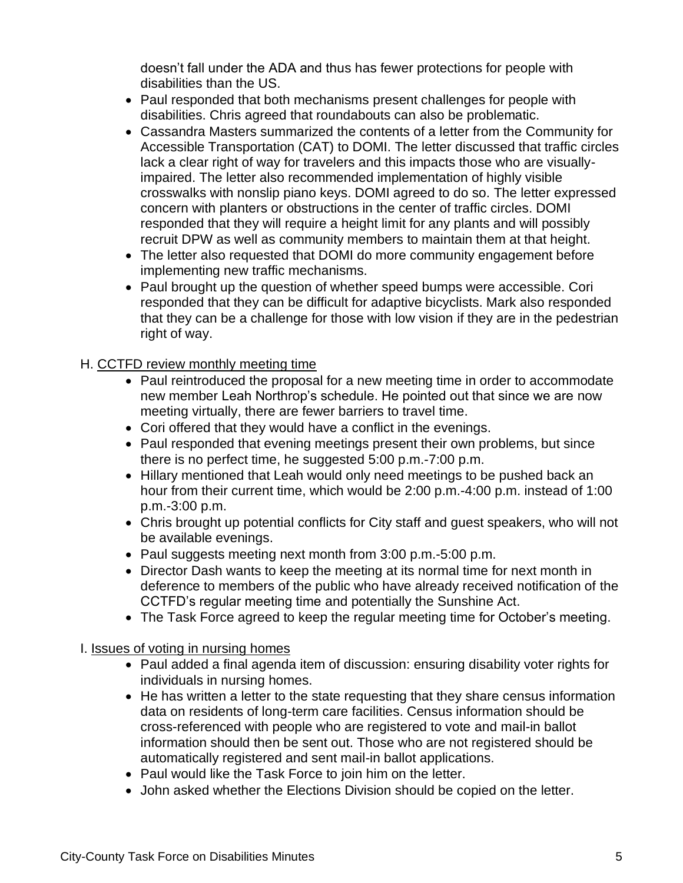doesn't fall under the ADA and thus has fewer protections for people with disabilities than the US.

- Paul responded that both mechanisms present challenges for people with disabilities. Chris agreed that roundabouts can also be problematic.
- Cassandra Masters summarized the contents of a letter from the Community for Accessible Transportation (CAT) to DOMI. The letter discussed that traffic circles lack a clear right of way for travelers and this impacts those who are visuallyimpaired. The letter also recommended implementation of highly visible crosswalks with nonslip piano keys. DOMI agreed to do so. The letter expressed concern with planters or obstructions in the center of traffic circles. DOMI responded that they will require a height limit for any plants and will possibly recruit DPW as well as community members to maintain them at that height.
- The letter also requested that DOMI do more community engagement before implementing new traffic mechanisms.
- Paul brought up the question of whether speed bumps were accessible. Cori responded that they can be difficult for adaptive bicyclists. Mark also responded that they can be a challenge for those with low vision if they are in the pedestrian right of way.

# H. CCTFD review monthly meeting time

- Paul reintroduced the proposal for a new meeting time in order to accommodate new member Leah Northrop's schedule. He pointed out that since we are now meeting virtually, there are fewer barriers to travel time.
- Cori offered that they would have a conflict in the evenings.
- Paul responded that evening meetings present their own problems, but since there is no perfect time, he suggested 5:00 p.m.-7:00 p.m.
- Hillary mentioned that Leah would only need meetings to be pushed back an hour from their current time, which would be 2:00 p.m.-4:00 p.m. instead of 1:00 p.m.-3:00 p.m.
- Chris brought up potential conflicts for City staff and guest speakers, who will not be available evenings.
- Paul suggests meeting next month from 3:00 p.m.-5:00 p.m.
- Director Dash wants to keep the meeting at its normal time for next month in deference to members of the public who have already received notification of the CCTFD's regular meeting time and potentially the Sunshine Act.
- The Task Force agreed to keep the regular meeting time for October's meeting.

# I. Issues of voting in nursing homes

- Paul added a final agenda item of discussion: ensuring disability voter rights for individuals in nursing homes.
- He has written a letter to the state requesting that they share census information data on residents of long-term care facilities. Census information should be cross-referenced with people who are registered to vote and mail-in ballot information should then be sent out. Those who are not registered should be automatically registered and sent mail-in ballot applications.
- Paul would like the Task Force to join him on the letter.
- John asked whether the Elections Division should be copied on the letter.